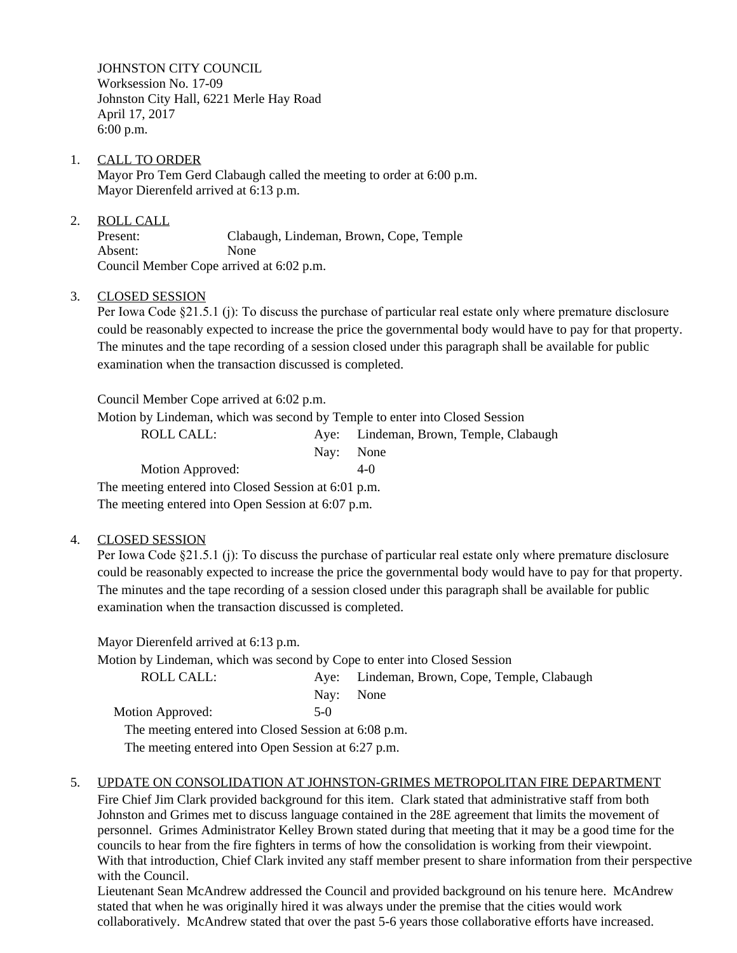JOHNSTON CITY COUNCIL Worksession No. 17-09 Johnston City Hall, 6221 Merle Hay Road April 17, 2017 6:00 p.m.

- 1. CALL TO ORDER Mayor Pro Tem Gerd Clabaugh called the meeting to order at 6:00 p.m. Mayor Dierenfeld arrived at 6:13 p.m.
- 2. ROLL CALL Present: Clabaugh, Lindeman, Brown, Cope, Temple Absent: None Council Member Cope arrived at 6:02 p.m.

## 3. CLOSED SESSION

Per Iowa Code §21.5.1 (j): To discuss the purchase of particular real estate only where premature disclosure could be reasonably expected to increase the price the governmental body would have to pay for that property. The minutes and the tape recording of a session closed under this paragraph shall be available for public examination when the transaction discussed is completed.

Council Member Cope arrived at 6:02 p.m.

Motion by Lindeman, which was second by Temple to enter into Closed Session

ROLL CALL: Aye: Lindeman, Brown, Temple, Clabaugh

Nay: None Motion Approved: 4-0 The meeting entered into Closed Session at 6:01 p.m. The meeting entered into Open Session at 6:07 p.m.

## 4. CLOSED SESSION

Per Iowa Code §21.5.1 (j): To discuss the purchase of particular real estate only where premature disclosure could be reasonably expected to increase the price the governmental body would have to pay for that property. The minutes and the tape recording of a session closed under this paragraph shall be available for public examination when the transaction discussed is completed.

Mayor Dierenfeld arrived at 6:13 p.m. Motion by Lindeman, which was second by Cope to enter into Closed Session ROLL CALL: Aye: Lindeman, Brown, Cope, Temple, Clabaugh Nay: None Motion Approved: 5-0 The meeting entered into Closed Session at 6:08 p.m. The meeting entered into Open Session at 6:27 p.m.

## 5. UPDATE ON CONSOLIDATION AT JOHNSTON-GRIMES METROPOLITAN FIRE DEPARTMENT

Fire Chief Jim Clark provided background for this item. Clark stated that administrative staff from both Johnston and Grimes met to discuss language contained in the 28E agreement that limits the movement of personnel. Grimes Administrator Kelley Brown stated during that meeting that it may be a good time for the councils to hear from the fire fighters in terms of how the consolidation is working from their viewpoint. With that introduction, Chief Clark invited any staff member present to share information from their perspective with the Council.

Lieutenant Sean McAndrew addressed the Council and provided background on his tenure here. McAndrew stated that when he was originally hired it was always under the premise that the cities would work collaboratively. McAndrew stated that over the past 5-6 years those collaborative efforts have increased.